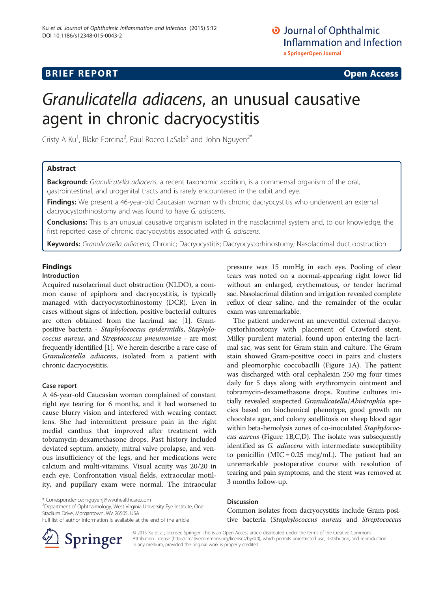# **BRIEF REPORT CONSTRUCTION CONSTRUCTION CONSTRUCTS**

# Granulicatella adiacens, an unusual causative agent in chronic dacryocystitis

Cristy A Ku<sup>1</sup>, Blake Forcina<sup>2</sup>, Paul Rocco LaSala<sup>3</sup> and John Nguyen<sup>2\*</sup>

# Abstract

Background: Granulicatella adiacens, a recent taxonomic addition, is a commensal organism of the oral, gastrointestinal, and urogenital tracts and is rarely encountered in the orbit and eye.

Findings: We present a 46-year-old Caucasian woman with chronic dacryocystitis who underwent an external dacryocystorhinostomy and was found to have G. adiacens.

Conclusions: This is an unusual causative organism isolated in the nasolacrimal system and, to our knowledge, the first reported case of chronic dacryocystitis associated with G. adiacens.

Keywords: Granulicatella adiacens; Chronic; Dacryocystitis; Dacryocystorhinostomy; Nasolacrimal duct obstruction

# Findings

# Introduction

Acquired nasolacrimal duct obstruction (NLDO), a common cause of epiphora and dacryocystitis, is typically managed with dacryocystorhinostomy (DCR). Even in cases without signs of infection, positive bacterial cultures are often obtained from the lacrimal sac [[1](#page-2-0)]. Grampositive bacteria - Staphylococcus epidermidis, Staphylococcus aureus, and Streptococcus pneumoniae - are most frequently identified [\[1](#page-2-0)]. We herein describe a rare case of Granulicatella adiacens, isolated from a patient with chronic dacryocystitis.

## Case report

A 46-year-old Caucasian woman complained of constant right eye tearing for 6 months, and it had worsened to cause blurry vision and interfered with wearing contact lens. She had intermittent pressure pain in the right medial canthus that improved after treatment with tobramycin-dexamethasone drops. Past history included deviated septum, anxiety, mitral valve prolapse, and venous insufficiency of the legs, and her medications were calcium and multi-vitamins. Visual acuity was 20/20 in each eye. Confrontation visual fields, extraocular motility, and pupillary exam were normal. The intraocular

\* Correspondence: [nguyenj@wvuhealthcare.com](mailto:nguyenj@wvuhealthcare.com) <sup>2</sup>

<sup>2</sup>Department of Ophthalmology, West Virginia University Eye Institute, One Stadium Drive, Morgantown, WV 26505, USA

pressure was 15 mmHg in each eye. Pooling of clear tears was noted on a normal-appearing right lower lid without an enlarged, erythematous, or tender lacrimal sac. Nasolacrimal dilation and irrigation revealed complete reflux of clear saline, and the remainder of the ocular exam was unremarkable.

The patient underwent an uneventful external dacryocystorhinostomy with placement of Crawford stent. Milky purulent material, found upon entering the lacrimal sac, was sent for Gram stain and culture. The Gram stain showed Gram-positive cocci in pairs and clusters and pleomorphic coccobacilli (Figure [1](#page-1-0)A). The patient was discharged with oral cephalexin 250 mg four times daily for 5 days along with erythromycin ointment and tobramycin-dexamethasone drops. Routine cultures initially revealed suspected Granulicatella/Abiotrophia species based on biochemical phenotype, good growth on chocolate agar, and colony satellitosis on sheep blood agar within beta-hemolysis zones of co-inoculated Staphylococcus aureus (Figure [1B](#page-1-0),C,D). The isolate was subsequently identified as G. adiacens with intermediate susceptibility to penicillin  $(MIC = 0.25 \text{ mcg/mL})$ . The patient had an unremarkable postoperative course with resolution of tearing and pain symptoms, and the stent was removed at 3 months follow-up.

## Discussion

Common isolates from dacryocystitis include Gram-positive bacteria (Staphylococcus aureus and Streptococcus



© 2015 Ku et al.; licensee Springer. This is an Open Access article distributed under the terms of the Creative Commons Attribution License [\(http://creativecommons.org/licenses/by/4.0\)](http://creativecommons.org/licenses/by/4.0), which permits unrestricted use, distribution, and reproduction in any medium, provided the original work is properly credited.

Full list of author information is available at the end of the article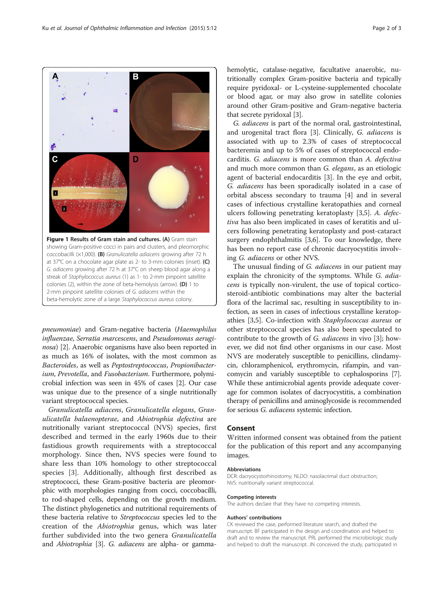pneumoniae) and Gram-negative bacteria (Haemophilus influenzae, Serratia marcescens, and Pseudomonas aerugi-nosa) [\[2\]](#page-2-0). Anaerobic organisms have also been reported in as much as 16% of isolates, with the most common as Bacteroides, as well as Peptostreptococcus, Propionibacterium, Prevotella, and Fusobacterium. Furthermore, polymicrobial infection was seen in 45% of cases [\[2](#page-2-0)]. Our case was unique due to the presence of a single nutritionally variant streptococcal species.

Granulicatella adiacens, Granulicatella elegans, Granulicatella balaenopterae, and Abiotrophia defectiva are nutritionally variant streptococcal (NVS) species, first described and termed in the early 1960s due to their fastidious growth requirements with a streptococcal morphology. Since then, NVS species were found to share less than 10% homology to other streptococcal species [\[3](#page-2-0)]. Additionally, although first described as streptococci, these Gram-positive bacteria are pleomorphic with morphologies ranging from cocci, coccobacilli, to rod-shaped cells, depending on the growth medium. The distinct phylogenetics and nutritional requirements of these bacteria relative to Streptococcus species led to the creation of the Abiotrophia genus, which was later further subdivided into the two genera *Granulicatella* and Abiotrophia [\[3\]](#page-2-0). G. adiacens are alpha- or gammahemolytic, catalase-negative, facultative anaerobic, nutritionally complex Gram-positive bacteria and typically require pyridoxal- or L-cysteine-supplemented chocolate or blood agar, or may also grow in satellite colonies around other Gram-positive and Gram-negative bacteria that secrete pyridoxal [\[3](#page-2-0)].

G. adiacens is part of the normal oral, gastrointestinal, and urogenital tract flora [\[3](#page-2-0)]. Clinically, G. adiacens is associated with up to 2.3% of cases of streptococcal bacteremia and up to 5% of cases of streptococcal endocarditis. G. adiacens is more common than A. defectiva and much more common than G. elegans, as an etiologic agent of bacterial endocarditis [[3\]](#page-2-0). In the eye and orbit, G. adiacens has been sporadically isolated in a case of orbital abscess secondary to trauma [[4\]](#page-2-0) and in several cases of infectious crystalline keratopathies and corneal ulcers following penetrating keratoplasty [\[3,5](#page-2-0)]. A. defectiva has also been implicated in cases of keratitis and ulcers following penetrating keratoplasty and post-cataract surgery endophthalmitis [\[3,6](#page-2-0)]. To our knowledge, there has been no report case of chronic dacryocystitis involving G. adiacens or other NVS.

The unusual finding of G. adiacens in our patient may explain the chronicity of the symptoms. While G. adiacens is typically non-virulent, the use of topical corticosteroid-antibiotic combinations may alter the bacterial flora of the lacrimal sac, resulting in susceptibility to infection, as seen in cases of infectious crystalline keratopathies [\[3](#page-2-0),[5](#page-2-0)]. Co-infection with Staphylococcus aureus or other streptococcal species has also been speculated to contribute to the growth of G. adiacens in vivo [[3](#page-2-0)]; however, we did not find other organisms in our case. Most NVS are moderately susceptible to penicillins, clindamycin, chloramphenicol, erythromycin, rifampin, and vancomycin and variably susceptible to cephalosporins [[7](#page-2-0)]. While these antimicrobial agents provide adequate coverage for common isolates of dacryocystitis, a combination therapy of penicillins and aminoglycoside is recommended for serious G. adiacens systemic infection.

## Consent

Written informed consent was obtained from the patient for the publication of this report and any accompanying images.

#### Abbreviations

DCR: dacryocystorhinostomy; NLDO: nasolacrimal duct obstruction; NVS: nutritionally variant streptococcal.

#### Competing interests

The authors declare that they have no competing interests.

#### Authors' contributions

CK reviewed the case, performed literature search, and drafted the manuscript. BF participated in the design and coordination and helped to draft and to review the manuscript. PRL performed the microbiologic study and helped to draft the manuscript. JN conceived the study, participated in

Figure 1 Results of Gram stain and cultures. (A) Gram stain showing Gram-positive cocci in pairs and clusters, and pleomorphic coccobacilli (×1,000). (B) Granulicatella adiacens growing after 72 h at 37°C on a chocolate agar plate as 2- to 3-mm colonies (inset). (C) G. adiacens growing after 72 h at 37°C on sheep blood agar along a streak of Staphylococcus aureus (1) as 1- to 2-mm pinpoint satellite colonies (2), within the zone of beta-hemolysis (arrow). (D) 1 to 2-mm pinpoint satellite colonies of G. adiacens within the beta-hemolytic zone of a large Staphylococcus aureus colony.

<span id="page-1-0"></span>